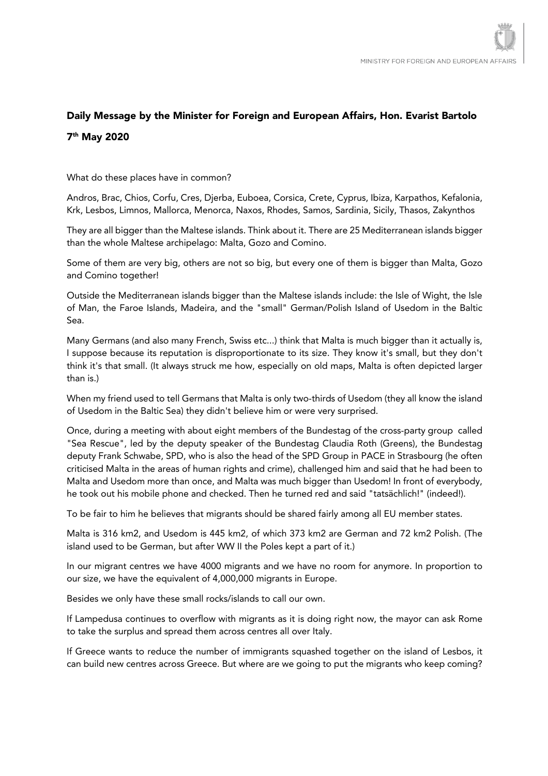## Daily Message by the Minister for Foreign and European Affairs, Hon. Evarist Bartolo 7th May 2020

What do these places have in common?

Andros, Brac, Chios, Corfu, Cres, Djerba, Euboea, Corsica, Crete, Cyprus, Ibiza, Karpathos, Kefalonia, Krk, Lesbos, Limnos, Mallorca, Menorca, Naxos, Rhodes, Samos, Sardinia, Sicily, Thasos, Zakynthos

They are all bigger than the Maltese islands. Think about it. There are 25 Mediterranean islands bigger than the whole Maltese archipelago: Malta, Gozo and Comino.

Some of them are very big, others are not so big, but every one of them is bigger than Malta, Gozo and Comino together!

Outside the Mediterranean islands bigger than the Maltese islands include: the Isle of Wight, the Isle of Man, the Faroe Islands, Madeira, and the "small" German/Polish Island of Usedom in the Baltic Sea.

Many Germans (and also many French, Swiss etc...) think that Malta is much bigger than it actually is, I suppose because its reputation is disproportionate to its size. They know it's small, but they don't think it's that small. (It always struck me how, especially on old maps, Malta is often depicted larger than is.)

When my friend used to tell Germans that Malta is only two-thirds of Usedom (they all know the island of Usedom in the Baltic Sea) they didn't believe him or were very surprised.

Once, during a meeting with about eight members of the Bundestag of the cross-party group called "Sea Rescue", led by the deputy speaker of the Bundestag Claudia Roth (Greens), the Bundestag deputy Frank Schwabe, SPD, who is also the head of the SPD Group in PACE in Strasbourg (he often criticised Malta in the areas of human rights and crime), challenged him and said that he had been to Malta and Usedom more than once, and Malta was much bigger than Usedom! In front of everybody, he took out his mobile phone and checked. Then he turned red and said "tatsächlich!" (indeed!).

To be fair to him he believes that migrants should be shared fairly among all EU member states.

Malta is 316 km2, and Usedom is 445 km2, of which 373 km2 are German and 72 km2 Polish. (The island used to be German, but after WW II the Poles kept a part of it.)

In our migrant centres we have 4000 migrants and we have no room for anymore. In proportion to our size, we have the equivalent of 4,000,000 migrants in Europe.

Besides we only have these small rocks/islands to call our own.

If Lampedusa continues to overflow with migrants as it is doing right now, the mayor can ask Rome to take the surplus and spread them across centres all over Italy.

If Greece wants to reduce the number of immigrants squashed together on the island of Lesbos, it can build new centres across Greece. But where are we going to put the migrants who keep coming?